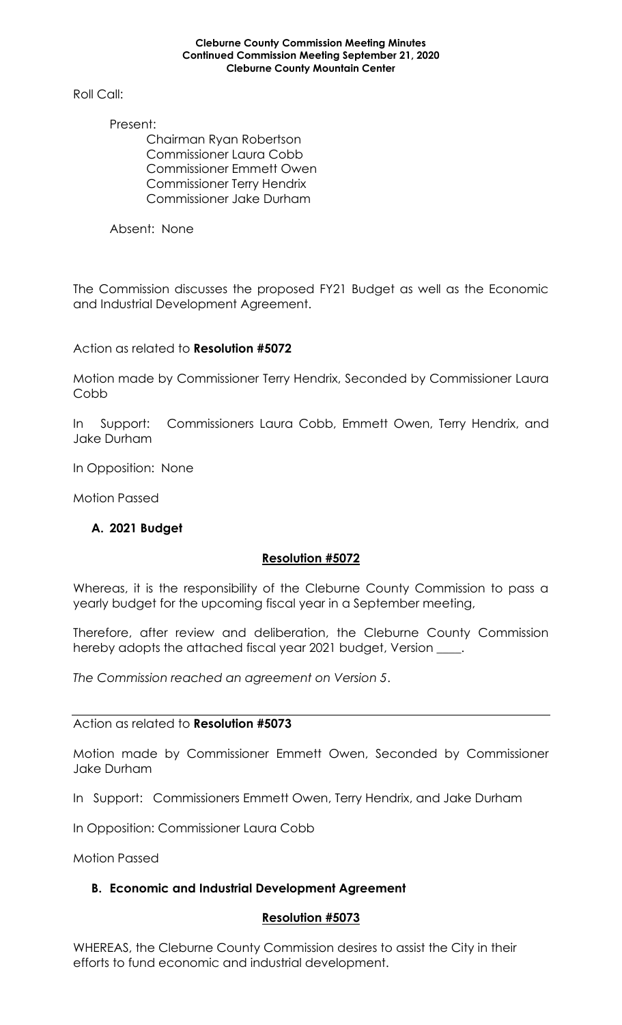### **Cleburne County Commission Meeting Minutes Continued Commission Meeting September 21, 2020 Cleburne County Mountain Center**

Roll Call:

Present:

Chairman Ryan Robertson Commissioner Laura Cobb Commissioner Emmett Owen Commissioner Terry Hendrix Commissioner Jake Durham

Absent: None

The Commission discusses the proposed FY21 Budget as well as the Economic and Industrial Development Agreement.

Action as related to **Resolution #5072**

Motion made by Commissioner Terry Hendrix, Seconded by Commissioner Laura Cobb

In Support: Commissioners Laura Cobb, Emmett Owen, Terry Hendrix, and Jake Durham

In Opposition: None

Motion Passed

## **A. 2021 Budget**

## **Resolution #5072**

Whereas, it is the responsibility of the Cleburne County Commission to pass a yearly budget for the upcoming fiscal year in a September meeting,

Therefore, after review and deliberation, the Cleburne County Commission hereby adopts the attached fiscal year 2021 budget, Version \_\_\_\_.

*The Commission reached an agreement on Version 5*.

Action as related to **Resolution #5073**

Motion made by Commissioner Emmett Owen, Seconded by Commissioner Jake Durham

In Support: Commissioners Emmett Owen, Terry Hendrix, and Jake Durham

In Opposition: Commissioner Laura Cobb

Motion Passed

## **B. Economic and Industrial Development Agreement**

## **Resolution #5073**

WHEREAS, the Cleburne County Commission desires to assist the City in their efforts to fund economic and industrial development.